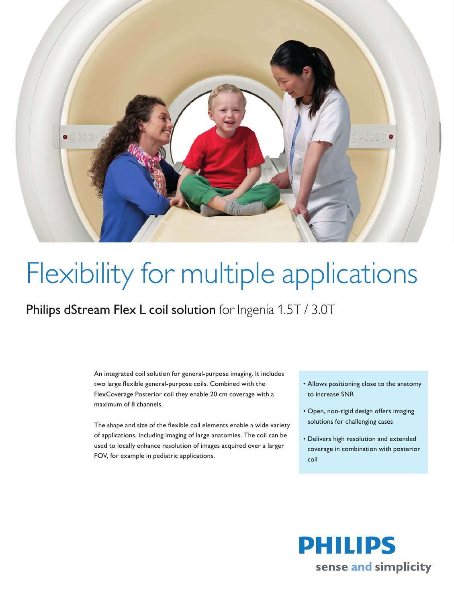

## Flexibility for multiple applications

Philips dStream Flex L coil solution for Ingenia 1.5T / 3.0T

An integrated coil solution for general-purpose imaging. It includes two large flexible general-purpose coils. Combined with the FlexCoverage Posterior coil they enable 20 cm coverage with a maximum of 8 channels.

The shape and size of the flexible coil elements enable a wide variety of applications, including imaging of large anatomies. The coil can be used to locally enhance resolution of images acquired over a larger FOV, for example in pediatric applications.

- Allows positioning close to the anatomy to increase SNR
- Open, non-rigid design offers imaging solutions for challenging cases
- Delivers high resolution and extended coverage in combination with posterior coil